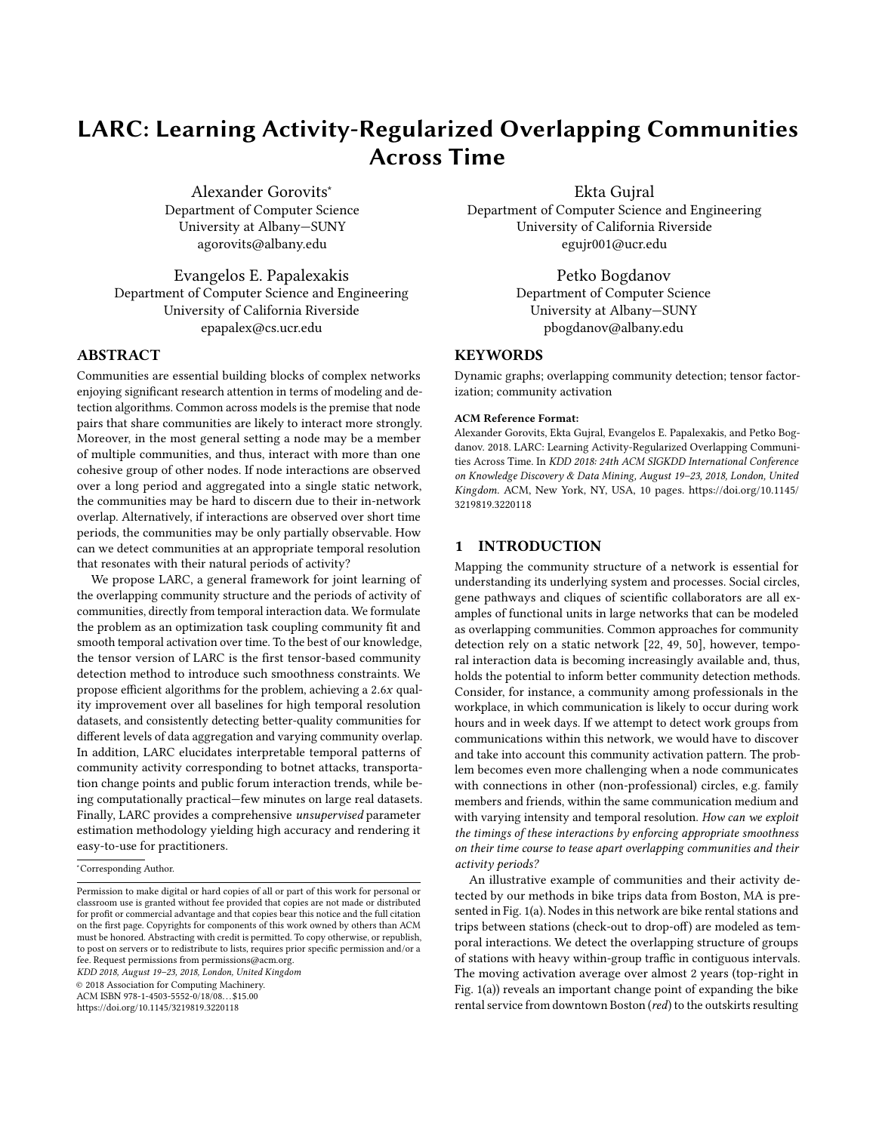# LARC: Learning Activity-Regularized Overlapping Communities Across Time

Alexander Gorovits<sup>∗</sup> Department of Computer Science University at Albany-SUNY agorovits@albany.edu

Evangelos E. Papalexakis Department of Computer Science and Engineering University of California Riverside epapalex@cs.ucr.edu

## ABSTRACT

Communities are essential building blocks of complex networks enjoying significant research attention in terms of modeling and detection algorithms. Common across models is the premise that node pairs that share communities are likely to interact more strongly. Moreover, in the most general setting a node may be a member of multiple communities, and thus, interact with more than one cohesive group of other nodes. If node interactions are observed over a long period and aggregated into a single static network, the communities may be hard to discern due to their in-network overlap. Alternatively, if interactions are observed over short time periods, the communities may be only partially observable. How can we detect communities at an appropriate temporal resolution that resonates with their natural periods of activity?

We propose LARC, a general framework for joint learning of the overlapping community structure and the periods of activity of communities, directly from temporal interaction data. We formulate the problem as an optimization task coupling community fit and smooth temporal activation over time. To the best of our knowledge, the tensor version of LARC is the first tensor-based community detection method to introduce such smoothness constraints. We propose efficient algorithms for the problem, achieving a  $2.6x$  quality improvement over all baselines for high temporal resolution datasets, and consistently detecting better-quality communities for diferent levels of data aggregation and varying community overlap. In addition, LARC elucidates interpretable temporal patterns of community activity corresponding to botnet attacks, transportation change points and public forum interaction trends, while being computationally practical–few minutes on large real datasets. Finally, LARC provides a comprehensive unsupervised parameter estimation methodology yielding high accuracy and rendering it easy-to-use for practitioners.

<sup>∗</sup>Corresponding Author.

KDD 2018, August 19-23, 2018, London, United Kingdom

© 2018 Association for Computing Machinery.

ACM ISBN 978-1-4503-5552-0/18/08. . . \$15.00

<https://doi.org/10.1145/3219819.3220118>

Ekta Gujral

Department of Computer Science and Engineering University of California Riverside egujr001@ucr.edu

> Petko Bogdanov Department of Computer Science University at Albany-SUNY pbogdanov@albany.edu

# **KEYWORDS**

Dynamic graphs; overlapping community detection; tensor factorization; community activation

#### ACM Reference Format:

Alexander Gorovits, Ekta Gujral, Evangelos E. Papalexakis, and Petko Bogdanov. 2018. LARC: Learning Activity-Regularized Overlapping Communities Across Time. In KDD 2018: 24th ACM SIGKDD International Conference on Knowledge Discovery & Data Mining, August 19-23, 2018, London, United Kingdom. ACM, New York, NY, USA, [10](#page-9-0) pages. [https://doi.org/10.1145/](https://doi.org/10.1145/3219819.3220118) [3219819.3220118](https://doi.org/10.1145/3219819.3220118)

# <span id="page-0-0"></span>1 INTRODUCTION

Mapping the community structure of a network is essential for understanding its underlying system and processes. Social circles, gene pathways and cliques of scientific collaborators are all examples of functional units in large networks that can be modeled as overlapping communities. Common approaches for community detection rely on a static network [\[22,](#page-9-1) [49,](#page-9-2) [50\]](#page-9-3), however, temporal interaction data is becoming increasingly available and, thus, holds the potential to inform better community detection methods. Consider, for instance, a community among professionals in the workplace, in which communication is likely to occur during work hours and in week days. If we attempt to detect work groups from communications within this network, we would have to discover and take into account this community activation pattern. The problem becomes even more challenging when a node communicates with connections in other (non-professional) circles, e.g. family members and friends, within the same communication medium and with varying intensity and temporal resolution. How can we exploit the timings of these interactions by enforcing appropriate smoothness on their time course to tease apart overlapping communities and their activity periods?

An illustrative example of communities and their activity detected by our methods in bike trips data from Boston, MA is presented in Fig. [1\(a\).](#page-1-0) Nodes in this network are bike rental stations and trips between stations (check-out to drop-off) are modeled as temporal interactions. We detect the overlapping structure of groups of stations with heavy within-group traffic in contiguous intervals. The moving activation average over almost 2 years (top-right in Fig. [1\(a\)\)](#page-1-0) reveals an important change point of expanding the bike rental service from downtown Boston (red) to the outskirts resulting

Permission to make digital or hard copies of all or part of this work for personal or classroom use is granted without fee provided that copies are not made or distributed for profit or commercial advantage and that copies bear this notice and the full citation on the irst page. Copyrights for components of this work owned by others than ACM must be honored. Abstracting with credit is permitted. To copy otherwise, or republish, to post on servers or to redistribute to lists, requires prior specific permission and/or a fee. Request permissions from permissions@acm.org.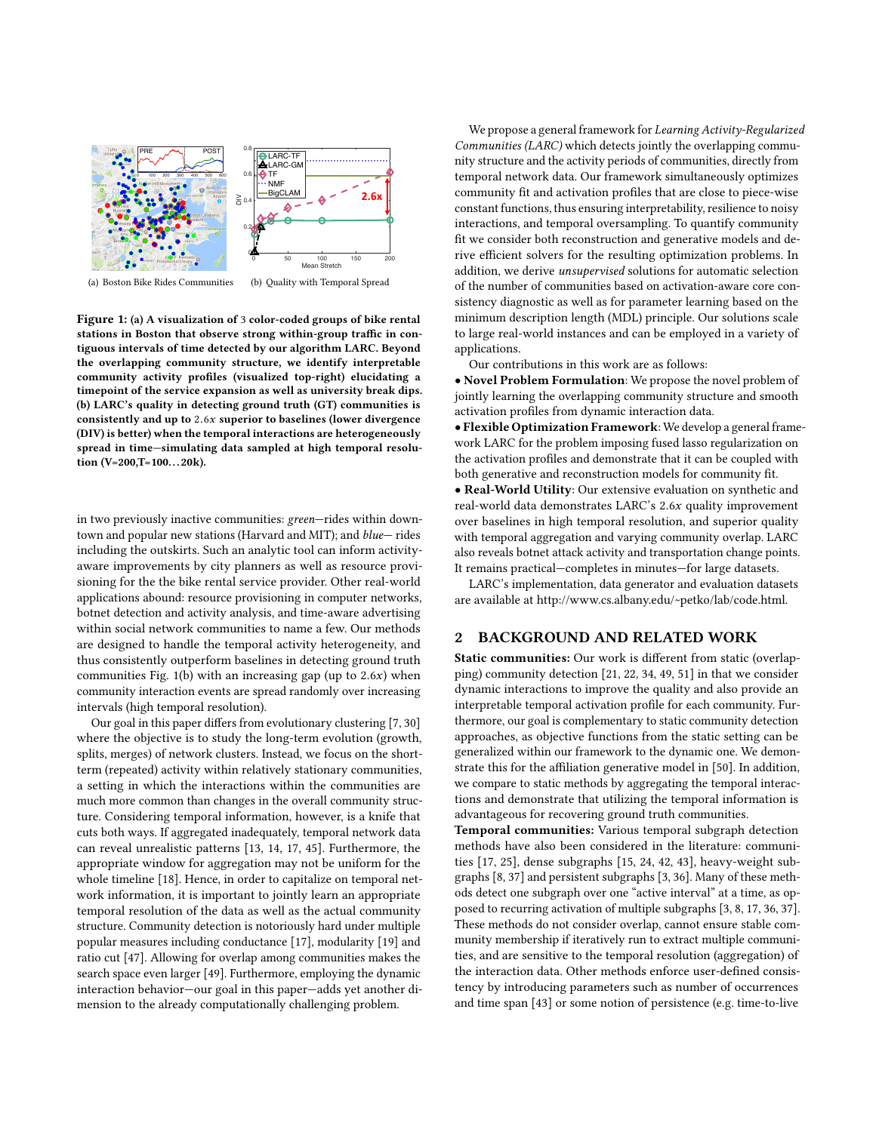<span id="page-1-0"></span>

<span id="page-1-1"></span>(a) Boston Bike Rides Communities (b) Quality with Temporal Spread

Figure 1: [\(a\)](#page-1-0) A visualization of 3 color-coded groups of bike rental stations in Boston that observe strong within-group traffic in contiguous intervals of time detected by our algorithm LARC. Beyond the overlapping community structure, we identify interpretable community activity profiles (visualized top-right) elucidating a timepoint of the service expansion as well as university break dips. [\(b\)](#page-1-1) LARC's quality in detecting ground truth (GT) communities is consistently and up to 2.6x superior to baselines (lower divergence (DIV) is better) when the temporal interactions are heterogeneously spread in time-simulating data sampled at high temporal resolution (V=200,T=100. . . 20k).

in two previously inactive communities: green-rides within downtown and popular new stations (Harvard and MIT); and blue-rides including the outskirts. Such an analytic tool can inform activityaware improvements by city planners as well as resource provisioning for the the bike rental service provider. Other real-world applications abound: resource provisioning in computer networks, botnet detection and activity analysis, and time-aware advertising within social network communities to name a few. Our methods are designed to handle the temporal activity heterogeneity, and thus consistently outperform baselines in detecting ground truth communities Fig.  $1(b)$  with an increasing gap (up to 2.6x) when community interaction events are spread randomly over increasing intervals (high temporal resolution).

Our goal in this paper difers from evolutionary clustering [\[7,](#page-8-0) [30\]](#page-9-4) where the objective is to study the long-term evolution (growth, splits, merges) of network clusters. Instead, we focus on the shortterm (repeated) activity within relatively stationary communities, a setting in which the interactions within the communities are much more common than changes in the overall community structure. Considering temporal information, however, is a knife that cuts both ways. If aggregated inadequately, temporal network data can reveal unrealistic patterns [\[13,](#page-8-1) [14,](#page-8-2) [17,](#page-9-5) [45\]](#page-9-6). Furthermore, the appropriate window for aggregation may not be uniform for the whole timeline [\[18\]](#page-9-7). Hence, in order to capitalize on temporal network information, it is important to jointly learn an appropriate temporal resolution of the data as well as the actual community structure. Community detection is notoriously hard under multiple popular measures including conductance [\[17\]](#page-9-5), modularity [\[19\]](#page-9-8) and ratio cut [\[47\]](#page-9-9). Allowing for overlap among communities makes the search space even larger [\[49\]](#page-9-2). Furthermore, employing the dynamic interaction behavior-our goal in this paper-adds yet another dimension to the already computationally challenging problem.

We propose a general framework for Learning Activity-Regularized Communities (LARC) which detects jointly the overlapping community structure and the activity periods of communities, directly from temporal network data. Our framework simultaneously optimizes community fit and activation profiles that are close to piece-wise constant functions, thus ensuring interpretability, resilience to noisy interactions, and temporal oversampling. To quantify community fit we consider both reconstruction and generative models and derive efficient solvers for the resulting optimization problems. In addition, we derive unsupervised solutions for automatic selection of the number of communities based on activation-aware core consistency diagnostic as well as for parameter learning based on the minimum description length (MDL) principle. Our solutions scale to large real-world instances and can be employed in a variety of applications.

Our contributions in this work are as follows:

• Novel Problem Formulation: We propose the novel problem of jointly learning the overlapping community structure and smooth activation profiles from dynamic interaction data.

• Flexible Optimization Framework: We develop a general framework LARC for the problem imposing fused lasso regularization on the activation profiles and demonstrate that it can be coupled with both generative and reconstruction models for community fit.

• Real-World Utility: Our extensive evaluation on synthetic and real-world data demonstrates LARC's 2.6x quality improvement over baselines in high temporal resolution, and superior quality with temporal aggregation and varying community overlap. LARC also reveals botnet attack activity and transportation change points. It remains practical–completes in minutes–for large datasets.

LARC's implementation, data generator and evaluation datasets are available at [http://www.cs.albany.edu/~petko/lab/code.html.](http://www.cs.albany.edu/~petko/lab/code.html)

## 2 BACKGROUND AND RELATED WORK

Static communities: Our work is different from static (overlapping) community detection [\[21,](#page-9-10) [22,](#page-9-1) [34,](#page-9-11) [49,](#page-9-2) [51\]](#page-9-12) in that we consider dynamic interactions to improve the quality and also provide an interpretable temporal activation profile for each community. Furthermore, our goal is complementary to static community detection approaches, as objective functions from the static setting can be generalized within our framework to the dynamic one. We demon-strate this for the affiliation generative model in [\[50\]](#page-9-3). In addition, we compare to static methods by aggregating the temporal interactions and demonstrate that utilizing the temporal information is advantageous for recovering ground truth communities.

Temporal communities: Various temporal subgraph detection methods have also been considered in the literature: communities [\[17,](#page-9-5) [25\]](#page-9-13), dense subgraphs [\[15,](#page-9-14) [24,](#page-9-15) [42,](#page-9-16) [43\]](#page-9-17), heavy-weight subgraphs [\[8,](#page-8-3) [37\]](#page-9-18) and persistent subgraphs [\[3,](#page-8-4) [36\]](#page-9-19). Many of these methods detect one subgraph over one "active interval" at a time, as opposed to recurring activation of multiple subgraphs [\[3,](#page-8-4) [8,](#page-8-3) [17,](#page-9-5) [36,](#page-9-19) [37\]](#page-9-18). These methods do not consider overlap, cannot ensure stable community membership if iteratively run to extract multiple communities, and are sensitive to the temporal resolution (aggregation) of the interaction data. Other methods enforce user-defined consistency by introducing parameters such as number of occurrences and time span [\[43\]](#page-9-17) or some notion of persistence (e.g. time-to-live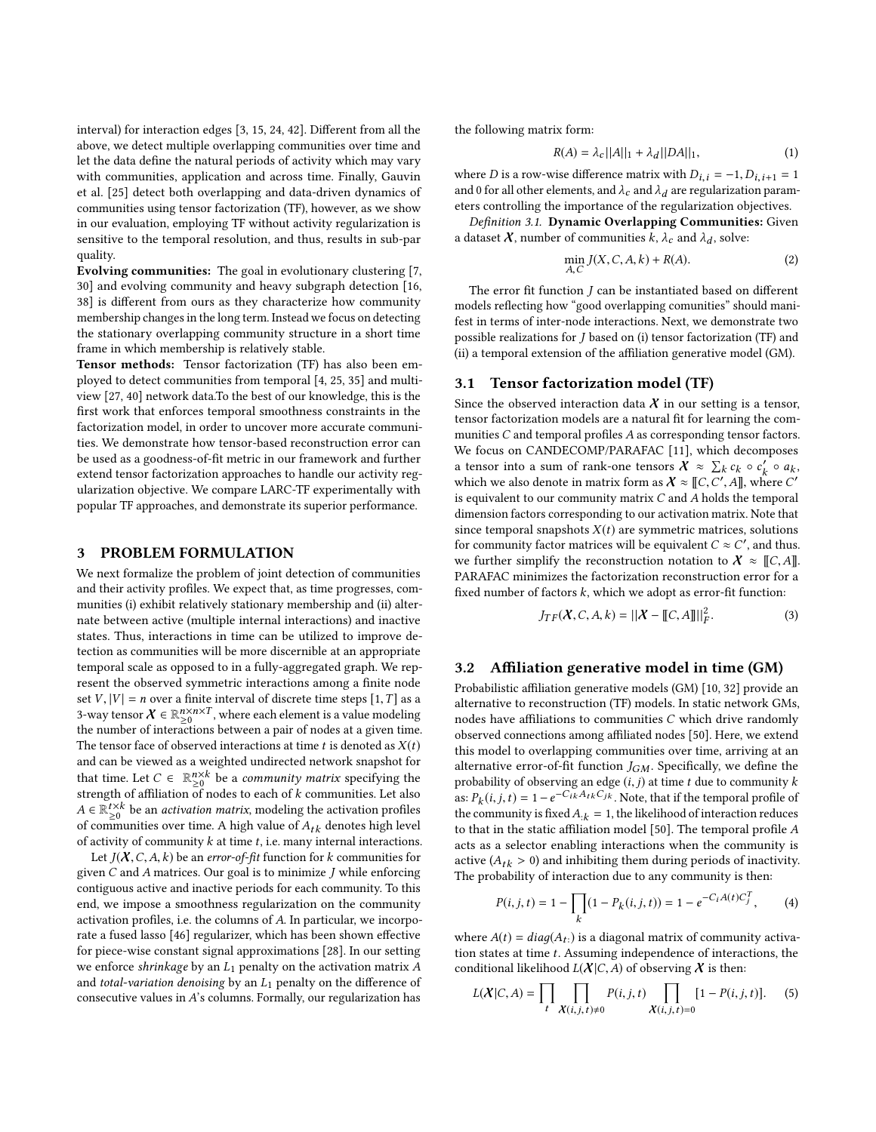interval) for interaction edges [\[3,](#page-8-4) [15,](#page-9-14) [24,](#page-9-15) [42\]](#page-9-16). Diferent from all the above, we detect multiple overlapping communities over time and let the data define the natural periods of activity which may vary with communities, application and across time. Finally, Gauvin et al. [\[25\]](#page-9-13) detect both overlapping and data-driven dynamics of communities using tensor factorization (TF), however, as we show in our evaluation, employing TF without activity regularization is sensitive to the temporal resolution, and thus, results in sub-par quality.

Evolving communities: The goal in evolutionary clustering [\[7,](#page-8-0) [30\]](#page-9-4) and evolving community and heavy subgraph detection [\[16,](#page-9-20) [38\]](#page-9-21) is diferent from ours as they characterize how community membership changes in the long term. Instead we focus on detecting the stationary overlapping community structure in a short time frame in which membership is relatively stable.

Tensor methods: Tensor factorization (TF) has also been employed to detect communities from temporal [\[4,](#page-8-5) [25,](#page-9-13) [35\]](#page-9-22) and multiview [\[27,](#page-9-23) [40\]](#page-9-24) network data.To the best of our knowledge, this is the first work that enforces temporal smoothness constraints in the factorization model, in order to uncover more accurate communities. We demonstrate how tensor-based reconstruction error can be used as a goodness-of-it metric in our framework and further extend tensor factorization approaches to handle our activity regularization objective. We compare LARC-TF experimentally with popular TF approaches, and demonstrate its superior performance.

#### 3 PROBLEM FORMULATION

We next formalize the problem of joint detection of communities and their activity profiles. We expect that, as time progresses, communities (i) exhibit relatively stationary membership and (ii) alternate between active (multiple internal interactions) and inactive states. Thus, interactions in time can be utilized to improve detection as communities will be more discernible at an appropriate temporal scale as opposed to in a fully-aggregated graph. We represent the observed symmetric interactions among a finite node set V,  $|V| = n$  over a finite interval of discrete time steps [1, T] as a 3-way tensor  $X \in \mathbb{R}_{\geq 0}^{n \times n \times T}$ , where each element is a value modeling the number of interactions between a pair of nodes at a given time. The tensor face of observed interactions at time  $t$  is denoted as  $X(t)$ and can be viewed as a weighted undirected network snapshot for that time. Let  $C \in \mathbb{R}_{\geq 0}^{n \times k}$  be a *community matrix* specifying the strength of affiliation of nodes to each of  $k$  communities. Let also  $A \in \mathbb{R}_{\geq 0}^{t \times k}$  be an *activation matrix*, modeling the activation profiles of communities over time. A high value of  $A_{tk}$  denotes high level of activity of community  $k$  at time  $t$ , i.e. many internal interactions.

Let  $J(X, C, A, k)$  be an error-of-fit function for k communities for given  $C$  and  $A$  matrices. Our goal is to minimize  $J$  while enforcing contiguous active and inactive periods for each community. To this end, we impose a smoothness regularization on the community activation profiles, i.e. the columns of  $A$ . In particular, we incorporate a fused lasso [\[46\]](#page-9-25) regularizer, which has been shown efective for piece-wise constant signal approximations [\[28\]](#page-9-26). In our setting we enforce shrinkage by an  $L_1$  penalty on the activation matrix  $A$ and total-variation denoising by an  $L_1$  penalty on the difference of consecutive values in A's columns. Formally, our regularization has the following matrix form:

$$
R(A) = \lambda_c ||A||_1 + \lambda_d ||DA||_1,\tag{1}
$$

where D is a row-wise difference matrix with  $D_{i,i} = -1, D_{i,i+1} = 1$ and 0 for all other elements, and  $\lambda_c$  and  $\lambda_d$  are regularization parameters controlling the importance of the regularization objectives.

Definition 3.1. Dynamic Overlapping Communities: Given a dataset  $\mathcal{X}$ , number of communities  $k$ ,  $\lambda_c$  and  $\lambda_d$ , solve:

$$
\min_{A,C} J(X, C, A, k) + R(A). \tag{2}
$$

The error fit function  $J$  can be instantiated based on different models reflecting how "good overlapping comunities" should manifest in terms of inter-node interactions. Next, we demonstrate two possible realizations for J based on (i) tensor factorization (TF) and (ii) a temporal extension of the affiliation generative model (GM).

## 3.1 Tensor factorization model (TF)

Since the observed interaction data  $X$  in our setting is a tensor, tensor factorization models are a natural fit for learning the communities  $C$  and temporal profiles  $A$  as corresponding tensor factors. We focus on CANDECOMP/PARAFAC [\[11\]](#page-8-6), which decomposes a tensor into a sum of rank-one tensors  $X \approx \sum_k c_k \circ c'_k \circ a_k$ , which we also denote in matrix form as  $\mathcal{X} \approx [\![ C, C', A ]\!]$ , where  $C'$ is equivalent to our community matrix  $C$  and  $A$  holds the temporal dimension factors corresponding to our activation matrix. Note that since temporal snapshots  $X(t)$  are symmetric matrices, solutions for community factor matrices will be equivalent  $C \approx C'$ , and thus. we further simplify the reconstruction notation to  $\mathcal{X} \approx [C, A]$ . PARAFAC minimizes the factorization reconstruction error for a fixed number of factors  $k$ , which we adopt as error-fit function:

$$
J_{TF}(\mathbf{X}, C, A, k) = ||\mathbf{X} - [[C, A]]||_F^2.
$$
 (3)

#### <span id="page-2-0"></span>3.2 Affiliation generative model in time (GM)

Probabilistic affiliation generative models (GM) [\[10,](#page-8-7) [32\]](#page-9-27) provide an alternative to reconstruction (TF) models. In static network GMs, nodes have affiliations to communities  $C$  which drive randomly observed connections among affiliated nodes [\[50\]](#page-9-3). Here, we extend this model to overlapping communities over time, arriving at an alternative error-of-fit function  $J_{GM}$ . Specifically, we define the probability of observing an edge  $(i, j)$  at time  $t$  due to community  $k$ as:  $P_k(i, j, t) = 1 - e^{-C_{ik}A_{tk}C_{jk}}$ . Note, that if the temporal profile of the community is fixed  $A_{ik} = 1$ , the likelihood of interaction reduces to that in the static affiliation model [\[50\]](#page-9-3). The temporal profile  $A$ acts as a selector enabling interactions when the community is active  $(A_{tk} > 0)$  and inhibiting them during periods of inactivity. The probability of interaction due to any community is then:

$$
P(i,j,t) = 1 - \prod_{k} (1 - P_k(i,j,t)) = 1 - e^{-C_i A(t) C_j^T}, \qquad (4)
$$

where  $A(t) = diag(A_{t:})$  is a diagonal matrix of community activation states at time t. Assuming independence of interactions, the conditional likelihood  $L(X|C, A)$  of observing  $X$  is then:

$$
L(\mathcal{X}|C,A) = \prod_{t} \prod_{\mathcal{X}(i,j,t)\neq 0} P(i,j,t) \prod_{\mathcal{X}(i,j,t)=0} [1 - P(i,j,t)]. \tag{5}
$$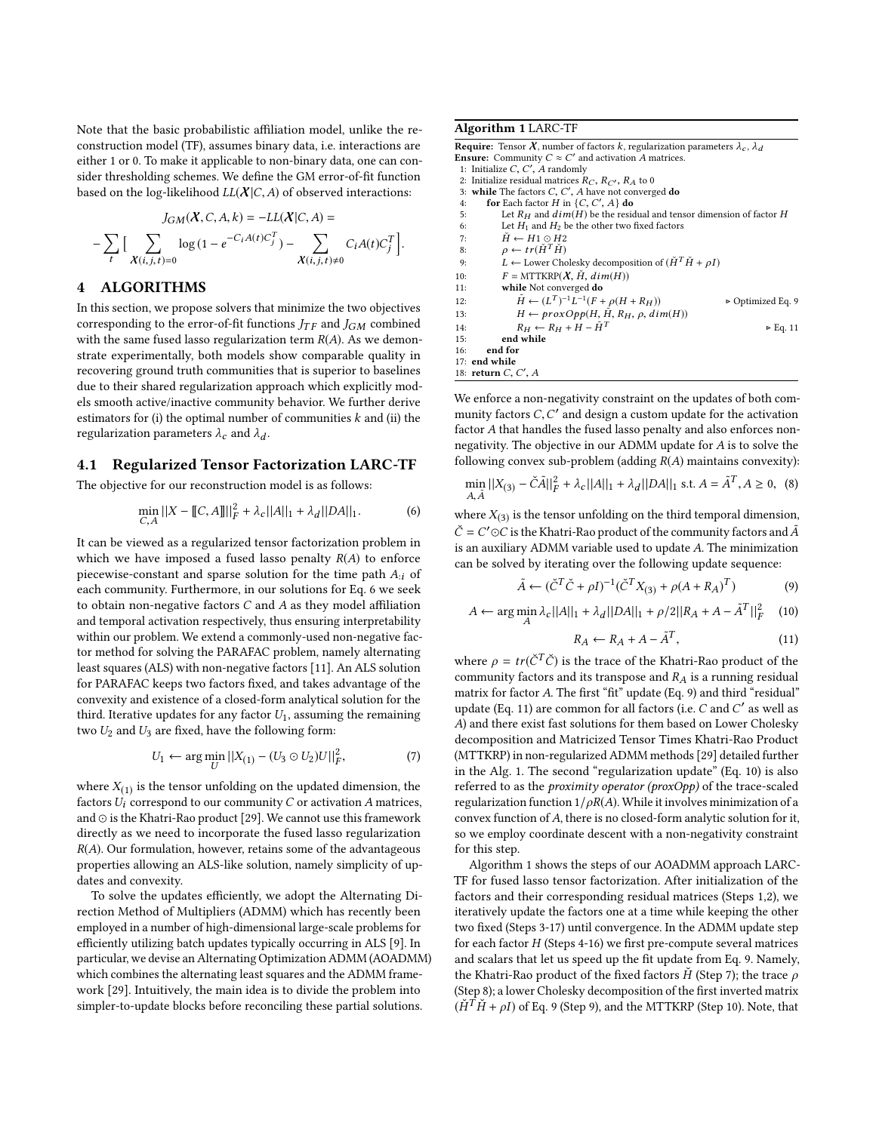Note that the basic probabilistic affiliation model, unlike the reconstruction model (TF), assumes binary data, i.e. interactions are either 1 or 0. To make it applicable to non-binary data, one can consider thresholding schemes. We define the GM error-of-fit function based on the log-likelihood  $LL(X|C, A)$  of observed interactions:

$$
J_{GM}(\boldsymbol{X},\boldsymbol{C},\boldsymbol{A},k) = -LL(\boldsymbol{X}|\boldsymbol{C},\boldsymbol{A}) =
$$
  

$$
-\sum_{t} \left[ \sum_{\boldsymbol{X}(i,j,t)=0} \log(1 - e^{-C_i \boldsymbol{A}(t) \boldsymbol{C}_j^T}) - \sum_{\boldsymbol{X}(i,j,t)\neq 0} C_i \boldsymbol{A}(t) \boldsymbol{C}_j^T \right].
$$

# 4 ALGORITHMS

In this section, we propose solvers that minimize the two objectives corresponding to the error-of-fit functions  $J_{TF}$  and  $J_{GM}$  combined with the same fused lasso regularization term  $R(A)$ . As we demonstrate experimentally, both models show comparable quality in recovering ground truth communities that is superior to baselines due to their shared regularization approach which explicitly models smooth active/inactive community behavior. We further derive estimators for (i) the optimal number of communities  $k$  and (ii) the regularization parameters  $\lambda_c$  and  $\lambda_d$ .

## 4.1 Regularized Tensor Factorization LARC-TF

The objective for our reconstruction model is as follows:

<span id="page-3-0"></span>
$$
\min_{C,A} ||X - [[C,A]]||_F^2 + \lambda_c ||A||_1 + \lambda_d ||DA||_1.
$$
 (6)

It can be viewed as a regularized tensor factorization problem in which we have imposed a fused lasso penalty  $R(A)$  to enforce piecewise-constant and sparse solution for the time path  $A_{:i}$  of each community. Furthermore, in our solutions for Eq. [6](#page-3-0) we seek to obtain non-negative factors  $C$  and  $A$  as they model affiliation and temporal activation respectively, thus ensuring interpretability within our problem. We extend a commonly-used non-negative factor method for solving the PARAFAC problem, namely alternating least squares (ALS) with non-negative factors [\[11\]](#page-8-6). An ALS solution for PARAFAC keeps two factors fixed, and takes advantage of the convexity and existence of a closed-form analytical solution for the third. Iterative updates for any factor  $U_1$ , assuming the remaining two  $U_2$  and  $U_3$  are fixed, have the following form:

$$
U_1 \leftarrow \arg\min_{U} ||X_{(1)} - (U_3 \odot U_2)U||_F^2, \tag{7}
$$

where  $X_{(1)}$  is the tensor unfolding on the updated dimension, the factors  $U_i$  correspond to our community  $C$  or activation  $A$  matrices, and ⊙ is the Khatri-Rao product [\[29\]](#page-9-28). We cannot use this framework directly as we need to incorporate the fused lasso regularization  $R(A)$ . Our formulation, however, retains some of the advantageous properties allowing an ALS-like solution, namely simplicity of updates and convexity.

To solve the updates efficiently, we adopt the Alternating Direction Method of Multipliers (ADMM) which has recently been employed in a number of high-dimensional large-scale problems for efficiently utilizing batch updates typically occurring in ALS [\[9\]](#page-8-8). In particular, we devise an Alternating Optimization ADMM (AOADMM) which combines the alternating least squares and the ADMM framework [\[29\]](#page-9-28). Intuitively, the main idea is to divide the problem into simpler-to-update blocks before reconciling these partial solutions.

## <span id="page-3-3"></span>Algorithm 1 LARC-TF

|     | <b>Require:</b> Tensor $\mathcal X$ , number of factors $k$ , regularization parameters $\lambda_c$ , $\lambda_d$ |                         |
|-----|-------------------------------------------------------------------------------------------------------------------|-------------------------|
|     | <b>Ensure:</b> Community $C \approx C'$ and activation A matrices.                                                |                         |
|     | 1: Initialize $C, C', A$ randomly                                                                                 |                         |
|     | 2: Initialize residual matrices $R_C$ , $R_{C'}$ , $R_A$ to 0                                                     |                         |
|     | 3: while The factors $C, C', A$ have not converged do                                                             |                         |
| 4:  | for Each factor H in $\{C, C', A\}$ do                                                                            |                         |
| 5:  | Let $R_H$ and $dim(H)$ be the residual and tensor dimension of factor H                                           |                         |
| 6:  | Let $H_1$ and $H_2$ be the other two fixed factors                                                                |                         |
| 7:  | $H \leftarrow H1 \odot H2$                                                                                        |                         |
| 8:  | $\rho \leftarrow tr(\check{H}^T \check{H})$                                                                       |                         |
| 9:  | $L \leftarrow$ Lower Cholesky decomposition of $(\check{H}^T \check{H} + \rho I)$                                 |                         |
| 10: | $F = \text{MTTKRP}(\boldsymbol{X}, \tilde{H}, \dim(H))$                                                           |                         |
| 11: | while Not converged do                                                                                            |                         |
| 12: | $\tilde{H} \leftarrow (L^T)^{-1}L^{-1}(F + \rho(H + R_H))$                                                        | ⊳ Optimized Eq. 9       |
| 13: | $H \leftarrow proxOpp(H, H, R_H, \rho, dim(H))$                                                                   |                         |
| 14: | $R_H \leftarrow R_H + H - \tilde{H}^T$                                                                            | $\triangleright$ Eq. 11 |
| 15: | end while                                                                                                         |                         |
| 16: | end for                                                                                                           |                         |
|     | 17: end while                                                                                                     |                         |
|     | 18: return $C, C', A$                                                                                             |                         |

We enforce a non-negativity constraint on the updates of both community factors  $C, C'$  and design a custom update for the activation factor A that handles the fused lasso penalty and also enforces nonnegativity. The objective in our ADMM update for A is to solve the following convex sub-problem (adding  $R(A)$  maintains convexity):

$$
\min_{A, \tilde{A}} ||X_{(3)} - \tilde{C}\tilde{A}||_F^2 + \lambda_c ||A||_1 + \lambda_d ||DA||_1 \text{ s.t. } A = \tilde{A}^T, A \ge 0, \quad (8)
$$

where  $X_{(3)}$  is the tensor unfolding on the third temporal dimension,  $\check{C}=C'\odot C$  is the Khatri-Rao product of the community factors and  $\tilde{A}$ is an auxiliary ADMM variable used to update A. The minimization can be solved by iterating over the following update sequence:

<span id="page-3-1"></span>
$$
\tilde{A} \leftarrow (\check{C}^T \check{C} + \rho I)^{-1} (\check{C}^T X_{(3)} + \rho (A + R_A)^T)
$$
\n(9)

<span id="page-3-4"></span>
$$
A \leftarrow \arg\min_{A} \lambda_c ||A||_1 + \lambda_d ||DA||_1 + \rho/2||R_A + A - \tilde{A}^T||_F^2 \quad (10)
$$

<span id="page-3-2"></span>
$$
R_A \leftarrow R_A + A - \tilde{A}^T,\tag{11}
$$

where  $\rho = tr(\check{C}^T \check{C})$  is the trace of the Khatri-Rao product of the community factors and its transpose and  $R_A$  is a running residual matrix for factor A. The first "fit" update (Eq. [9\)](#page-3-1) and third "residual" update (Eq. [11\)](#page-3-2) are common for all factors (i.e.  $C$  and  $C'$  as well as A) and there exist fast solutions for them based on Lower Cholesky decomposition and Matricized Tensor Times Khatri-Rao Product (MTTKRP) in non-regularized ADMM methods [\[29\]](#page-9-28) detailed further in the Alg. [1.](#page-3-3) The second "regularization update" (Eq. [10\)](#page-3-4) is also referred to as the *proximity operator* (*proxOpp*) of the trace-scaled regularization function  $1/\rho R(A)$ . While it involves minimization of a convex function of A, there is no closed-form analytic solution for it, so we employ coordinate descent with a non-negativity constraint for this step.

Algorithm [1](#page-3-3) shows the steps of our AOADMM approach LARC-TF for fused lasso tensor factorization. After initialization of the factors and their corresponding residual matrices (Steps 1,2), we iteratively update the factors one at a time while keeping the other two fixed (Steps 3-17) until convergence. In the ADMM update step for each factor  $H$  (Steps 4-16) we first pre-compute several matrices and scalars that let us speed up the fit update from Eq. [9.](#page-3-1) Namely, the Khatri-Rao product of the fixed factors  $\check{H}$  (Step 7); the trace  $\rho$ (Step 8); a lower Cholesky decomposition of the first inverted matrix  $(\check{H}^T \check{H} + \rho I)$  of Eq. [9](#page-3-1) (Step 9), and the MTTKRP (Step 10). Note, that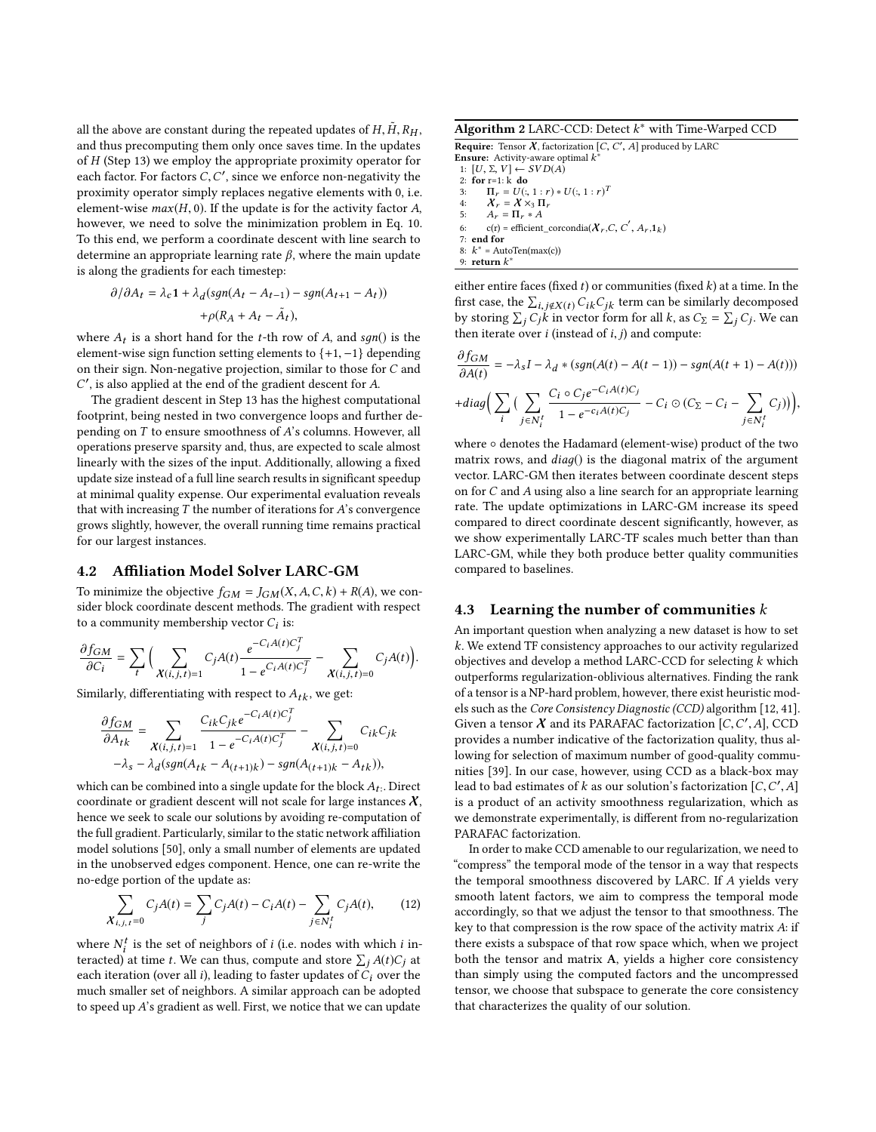all the above are constant during the repeated updates of  $H, \tilde{H}, R_H,$ and thus precomputing them only once saves time. In the updates of H (Step 13) we employ the appropriate proximity operator for each factor. For factors C, C', since we enforce non-negativity the proximity operator simply replaces negative elements with 0, i.e. element-wise  $max(H, 0)$ . If the update is for the activity factor A, however, we need to solve the minimization problem in Eq. [10.](#page-3-4) To this end, we perform a coordinate descent with line search to determine an appropriate learning rate  $\beta$ , where the main update is along the gradients for each timestep:

$$
\partial/\partial A_t = \lambda_c \mathbf{1} + \lambda_d (sgn(A_t - A_{t-1}) - sgn(A_{t+1} - A_t))
$$
  
+  $\rho(R_A + A_t - \tilde{A}_t)$ ,

where  $A_t$  is a short hand for the t-th row of A, and  $sgn()$  is the element-wise sign function setting elements to {+1, −1} depending on their sign. Non-negative projection, similar to those for C and C ′ , is also applied at the end of the gradient descent for A.

The gradient descent in Step 13 has the highest computational footprint, being nested in two convergence loops and further depending on T to ensure smoothness of A's columns. However, all operations preserve sparsity and, thus, are expected to scale almost linearly with the sizes of the input. Additionally, allowing a fixed update size instead of a full line search results in significant speedup at minimal quality expense. Our experimental evaluation reveals that with increasing  $T$  the number of iterations for  $A$ 's convergence grows slightly, however, the overall running time remains practical for our largest instances.

## 4.2 Affiliation Model Solver LARC-GM

To minimize the objective  $f_{GM} = J_{GM}(X, A, C, k) + R(A)$ , we consider block coordinate descent methods. The gradient with respect to a community membership vector  $C_i$  is:

$$
\frac{\partial f_{GM}}{\partial C_i} = \sum_t \Big( \sum_{\mathcal{X}(i,j,t)=1} C_j A(t) \frac{e^{-C_i A(t) C_j^T}}{1 - e^{C_i A(t) C_j^T}} - \sum_{\mathcal{X}(i,j,t)=0} C_j A(t) \Big).
$$

Similarly, differentiating with respect to  $A_{tk}$ , we get:

$$
\frac{\partial f_{GM}}{\partial A_{tk}} = \sum_{\chi(i,j,t)=1} \frac{C_{ik}C_{jk}e^{-C_{i}A(t)C_{j}^{T}}}{1 - e^{-C_{i}A(t)C_{j}^{T}}} - \sum_{\chi(i,j,t)=0} C_{ik}C_{jk}
$$

$$
-\lambda_{s} - \lambda_{d}(sgn(A_{tk} - A_{(t+1)k}) - sgn(A_{(t+1)k} - A_{tk})),
$$

which can be combined into a single update for the block  $A_{t,:}$  Direct coordinate or gradient descent will not scale for large instances  $\mathcal{X}$ , hence we seek to scale our solutions by avoiding re-computation of the full gradient. Particularly, similar to the static network affiliation model solutions [\[50\]](#page-9-3), only a small number of elements are updated in the unobserved edges component. Hence, one can re-write the no-edge portion of the update as:

$$
\sum_{i,j,t=0} C_j A(t) = \sum_j C_j A(t) - C_i A(t) - \sum_{j \in N_i^t} C_j A(t),
$$
 (12)

where  $N_i^t$  is the set of neighbors of *i* (i.e. nodes with which *i* interacted) at time  $t.$  We can thus, compute and store  $\sum_j A(t) C_j$  at each iteration (over all i), leading to faster updates of  $C_i$  over the much smaller set of neighbors. A similar approach can be adopted to speed up A's gradient as well. First, we notice that we can update

<span id="page-4-0"></span>Algorithm 2 LARC-CCD: Detect  $k^*$  with Time-Warped CCD

**Require:** Tensor  $\mathcal{X}$ , factorization  $[C, C', A]$  produced by LARC **Ensure:** Activity-aware optimal  $k$ 1:  $[U, \Sigma, V] \leftarrow SVD(A)$ 2: for r=1: k do 3:  $\Pi_r = U(:, 1:r) * U(:, 1:r)^T$ 4:  $X_r = X \times_3 \Pi_r$ <br>5:  $A_r = \Pi_r * A$  $A_r = \Pi_r * A$ 6:  $c(r) = \text{efficient\_corcondia}(\mathbf{\mathcal{X}}_r, C, C', A_r, \mathbf{1}_k)$ 7: end for 8:  $k^*$  = AutoTen(max(c))

9: return  $k^*$ 

either entire faces (fixed t) or communities (fixed  $k$ ) at a time. In the first case, the  $\sum_{i,j\notin X(t)} C_{ik}C_{jk}$  term can be similarly decomposed by storing  $\sum_j C_j \hat{k}$  in vector form for all  $k$ , as  $C_{\Sigma} = \sum_j C_j$ . We can then iterate over  $i$  (instead of  $i, j$ ) and compute:

$$
\frac{\partial f_{GM}}{\partial A(t)} = -\lambda_s I - \lambda_d * (sgn(A(t) - A(t-1)) - sgn(A(t+1) - A(t)))
$$
  
+diag $\Big( \sum_i \big( \sum_{j \in N_i^t} \frac{C_i \circ C_j e^{-C_i A(t) C_j}}{1 - e^{-c_i A(t) C_j}} - C_i \odot (C_{\Sigma} - C_i - \sum_{j \in N_i^t} C_j) \big) \Big),$ 

where ∘ denotes the Hadamard (element-wise) product of the two matrix rows, and  $diag()$  is the diagonal matrix of the argument vector. LARC-GM then iterates between coordinate descent steps on for C and A using also a line search for an appropriate learning rate. The update optimizations in LARC-GM increase its speed compared to direct coordinate descent significantly, however, as we show experimentally LARC-TF scales much better than than LARC-GM, while they both produce better quality communities compared to baselines.

#### <span id="page-4-1"></span>4.3 Learning the number of communities  $k$

An important question when analyzing a new dataset is how to set k. We extend TF consistency approaches to our activity regularized objectives and develop a method LARC-CCD for selecting  $k$  which outperforms regularization-oblivious alternatives. Finding the rank of a tensor is a NP-hard problem, however, there exist heuristic models such as the Core Consistency Diagnostic (CCD) algorithm [\[12,](#page-8-9) [41\]](#page-9-29). Given a tensor  $X$  and its PARAFAC factorization  $[C, C', A]$ , CCD provides a number indicative of the factorization quality, thus allowing for selection of maximum number of good-quality communities [\[39\]](#page-9-30). In our case, however, using CCD as a black-box may lead to bad estimates of  $k$  as our solution's factorization  $[C, C', A]$ is a product of an activity smoothness regularization, which as we demonstrate experimentally, is diferent from no-regularization PARAFAC factorization.

In order to make CCD amenable to our regularization, we need to "compress" the temporal mode of the tensor in a way that respects the temporal smoothness discovered by LARC. If A yields very smooth latent factors, we aim to compress the temporal mode accordingly, so that we adjust the tensor to that smoothness. The key to that compression is the row space of the activity matrix A: if there exists a subspace of that row space which, when we project both the tensor and matrix A, yields a higher core consistency than simply using the computed factors and the uncompressed tensor, we choose that subspace to generate the core consistency that characterizes the quality of our solution.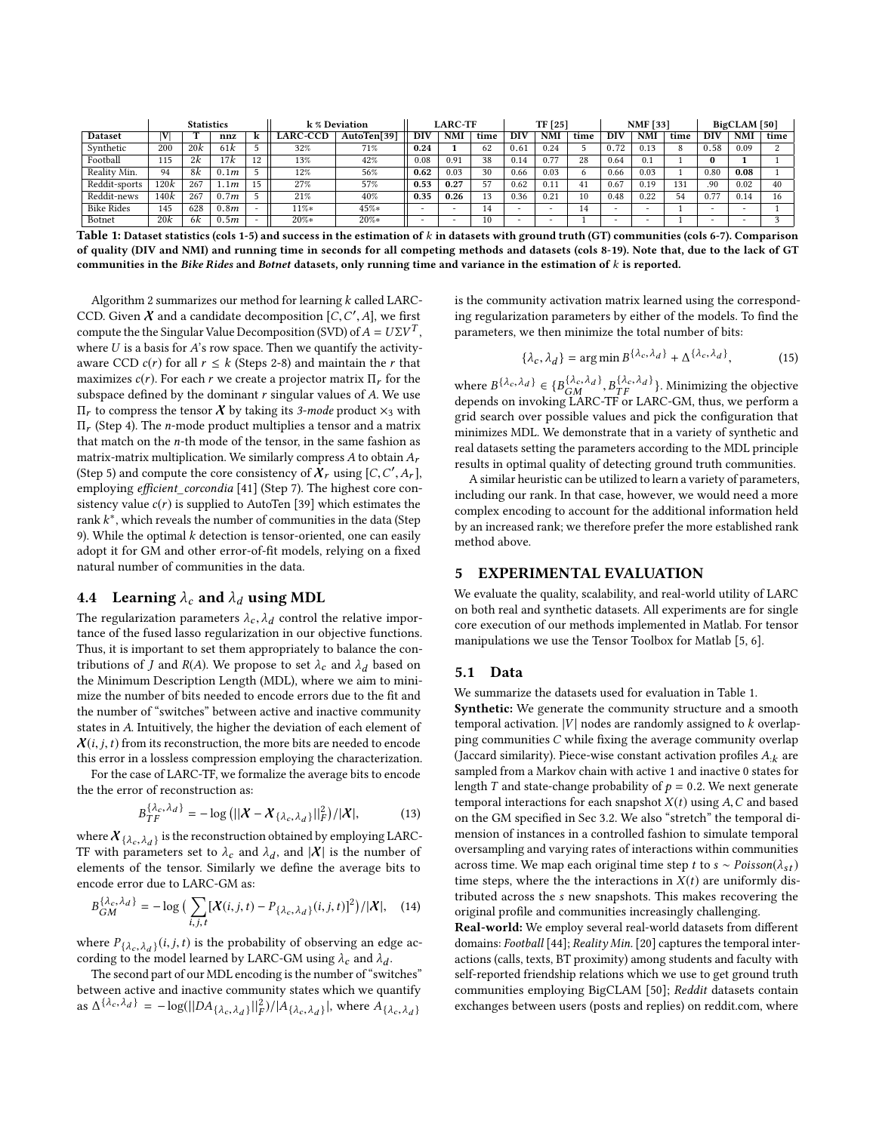<span id="page-5-0"></span>

|                   | <b>Statistics</b> |     |      |    | k % Deviation   |             | <b>LARC-TF</b> |      | TF [25] |                          |            | <b>NMF</b> [33] |                          |                          | BigCLAM [50] |                          |            |      |
|-------------------|-------------------|-----|------|----|-----------------|-------------|----------------|------|---------|--------------------------|------------|-----------------|--------------------------|--------------------------|--------------|--------------------------|------------|------|
| <b>Dataset</b>    | V                 |     | nnz  |    | <b>LARC-CCD</b> | AutoTen[39] | DIV            | NMI  | time    | DIV                      | <b>NMI</b> | time            | DI۱                      | NMI                      | time         | DI۱                      | <b>NMI</b> | time |
| Synthetic         | 200               | 20k | 61k  |    | 32%             | 71%         | 0.24           |      | 62      | 0.61                     | 0.24       |                 | 0.72                     | 0.13                     |              | 0.58                     | 0.09       |      |
| Football          | 115               | 2k  | 17 k | 12 | 13%             | 42%         | 0.08           | 0.91 | 38      | 0.14                     | 0.77       | 28              | 0.64                     | 0.1                      |              | $\bf{0}$                 |            |      |
| Reality Min.      | 94                | 8k  | 0.1m |    | 12%             | 56%         | 0.62           | 0.03 | 30      | 0.66                     | 0.03       | 6               | 0.66                     | 0.03                     |              | 0.80                     | 0.08       |      |
| Reddit-sports     | 120k              | 267 | .1m  |    | 27%             | 57%         | 0.53           | 0.27 | 57      | 0.62                     | 0.11       | 4 <sub>1</sub>  | 0.67                     | 0.19                     | 131          | .90                      | 0.02       | 40   |
| Reddit-news       | 140k              | 267 | 0.7m |    | 21%             | 40%         | 0.35           | 0.26 |         | 0.36                     | 0.21       | 10              | 0.48                     | 0.22                     | 54           | 0.77                     | 0.14       | 16   |
| <b>Bike Rides</b> | 145               | 628 | 0.8m |    | $11\%*$         | $45%$ *     |                |      | 14      | $\overline{\phantom{0}}$ |            | 14              | $\sim$                   | $\overline{\phantom{0}}$ |              | $\overline{\phantom{0}}$ | -          |      |
| Botnet            | 20k               | 6k  | 0.5m |    | $20\%*$         | $20\%*$     |                |      | 10      | $\overline{\phantom{a}}$ |            |                 | $\overline{\phantom{a}}$ | ۰                        |              | $\overline{\phantom{0}}$ |            |      |

Table 1: Dataset statistics (cols 1-5) and success in the estimation of k in datasets with ground truth (GT) communities (cols 6-7). Comparison of quality (DIV and NMI) and running time in seconds for all competing methods and datasets (cols 8-19). Note that, due to the lack of GT communities in the Bike Rides and Botnet datasets, only running time and variance in the estimation of  $k$  is reported.

Algorithm [2](#page-4-0) summarizes our method for learning k called LARC-CCD. Given  $X$  and a candidate decomposition  $[C, C', A]$ , we first compute the the Singular Value Decomposition (SVD) of  $A = U \Sigma V^T$  , where  $U$  is a basis for  $A$ 's row space. Then we quantify the activityaware CCD  $c(r)$  for all  $r \leq k$  (Steps 2-8) and maintain the r that maximizes  $c(r)$ . For each r we create a projector matrix  $\Pi_r$  for the subspace defined by the dominant  $r$  singular values of  $A$ . We use  $\Pi_r$  to compress the tensor X by taking its 3-mode product  $\times_3$  with  $\Pi_r$  (Step 4). The *n*-mode product multiplies a tensor and a matrix that match on the n-th mode of the tensor, in the same fashion as matrix-matrix multiplication. We similarly compress  $A$  to obtain  $A_r$ (Step 5) and compute the core consistency of  $\mathcal{X}_r$  using [C, C', A<sub>r</sub>], employing efficient\_corcondia [\[41\]](#page-9-29) (Step 7). The highest core consistency value  $c(r)$  is supplied to AutoTen [\[39\]](#page-9-30) which estimates the rank  $k^*$ , which reveals the number of communities in the data (Step 9). While the optimal  $k$  detection is tensor-oriented, one can easily adopt it for GM and other error-of-fit models, relying on a fixed natural number of communities in the data.

## 4.4 Learning  $\lambda_c$  and  $\lambda_d$  using MDL

The regularization parameters  $\lambda_c, \lambda_d$  control the relative importance of the fused lasso regularization in our objective functions. Thus, it is important to set them appropriately to balance the contributions of J and R(A). We propose to set  $\lambda_c$  and  $\lambda_d$  based on the Minimum Description Length (MDL), where we aim to minimize the number of bits needed to encode errors due to the fit and the number of "switches" between active and inactive community states in A. Intuitively, the higher the deviation of each element of  $\mathcal{X}(i, j, t)$  from its reconstruction, the more bits are needed to encode this error in a lossless compression employing the characterization.

For the case of LARC-TF, we formalize the average bits to encode the the error of reconstruction as:

$$
B_{TF}^{\{\lambda_c,\lambda_d\}} = -\log\left(||\mathbf{X} - \mathbf{X}_{\{\lambda_c,\lambda_d\}}||_F^2\right) / |\mathbf{X}|,\tag{13}
$$

where  $\mathcal{X}_{\{\lambda_c,\lambda_d\}}$  is the reconstruction obtained by employing LARC-TF with parameters set to  $\lambda_c$  and  $\lambda_d$ , and  $|X|$  is the number of elements of the tensor. Similarly we deine the average bits to encode error due to LARC-GM as:

$$
B_{GM}^{\{\lambda_c,\lambda_d\}} = -\log\big(\sum_{i,j,t}[X(i,j,t) - P_{\{\lambda_c,\lambda_d\}}(i,j,t)]^2\big)/|X|, \quad (14)
$$

where  $P_{\{\lambda_c,\lambda_d\}}(i,j,t)$  is the probability of observing an edge according to the model learned by LARC-GM using  $\lambda_c$  and  $\lambda_d$ .

The second part of our MDL encoding is the number of "switches" between active and inactive community states which we quantify as  $\Delta^{\{\lambda_c,\lambda_d\}} = -\log(||DA_{\{\lambda_c,\lambda_d\}}||_F^2)/|A_{\{\lambda_c,\lambda_d\}}|$ , where  $A_{\{\lambda_c,\lambda_d\}}$ 

is the community activation matrix learned using the corresponding regularization parameters by either of the models. To find the parameters, we then minimize the total number of bits:

<span id="page-5-1"></span>
$$
\{\lambda_c, \lambda_d\} = \arg\min B^{\{\lambda_c, \lambda_d\}} + \Delta^{\{\lambda_c, \lambda_d\}},\tag{15}
$$

where  $B^{\{\lambda_c,\lambda_d\}} \in \{B^{\{\lambda_c,\lambda_d\}}_{GH},B^{\{\lambda_c,\lambda_d\}}_{TF}\}$ . Minimizing the objective depends on invoking LARC-TF or LARC-GM, thus, we perform a grid search over possible values and pick the configuration that minimizes MDL. We demonstrate that in a variety of synthetic and real datasets setting the parameters according to the MDL principle results in optimal quality of detecting ground truth communities.

A similar heuristic can be utilized to learn a variety of parameters, including our rank. In that case, however, we would need a more complex encoding to account for the additional information held by an increased rank; we therefore prefer the more established rank method above.

## 5 EXPERIMENTAL EVALUATION

We evaluate the quality, scalability, and real-world utility of LARC on both real and synthetic datasets. All experiments are for single core execution of our methods implemented in Matlab. For tensor manipulations we use the Tensor Toolbox for Matlab [\[5,](#page-8-10) [6\]](#page-8-11).

#### 5.1 Data

We summarize the datasets used for evaluation in Table [1.](#page-5-0)

Synthetic: We generate the community structure and a smooth temporal activation.  $|V|$  nodes are randomly assigned to  $k$  overlapping communities  $C$  while fixing the average community overlap (Jaccard similarity). Piece-wise constant activation profiles  $A_{:k}$  are sampled from a Markov chain with active 1 and inactive 0 states for length T and state-change probability of  $p = 0.2$ . We next generate temporal interactions for each snapshot  $X(t)$  using A, C and based on the GM specified in Sec [3.2.](#page-2-0) We also "stretch" the temporal dimension of instances in a controlled fashion to simulate temporal oversampling and varying rates of interactions within communities across time. We map each original time step t to  $s \sim Poisson(\lambda_{st})$ time steps, where the the interactions in  $X(t)$  are uniformly distributed across the s new snapshots. This makes recovering the original profile and communities increasingly challenging.

Real-world: We employ several real-world datasets from diferent domains: Football [\[44\]](#page-9-32); Reality Min. [\[20\]](#page-9-33) captures the temporal interactions (calls, texts, BT proximity) among students and faculty with self-reported friendship relations which we use to get ground truth communities employing BigCLAM [\[50\]](#page-9-3); Reddit datasets contain exchanges between users (posts and replies) on reddit.com, where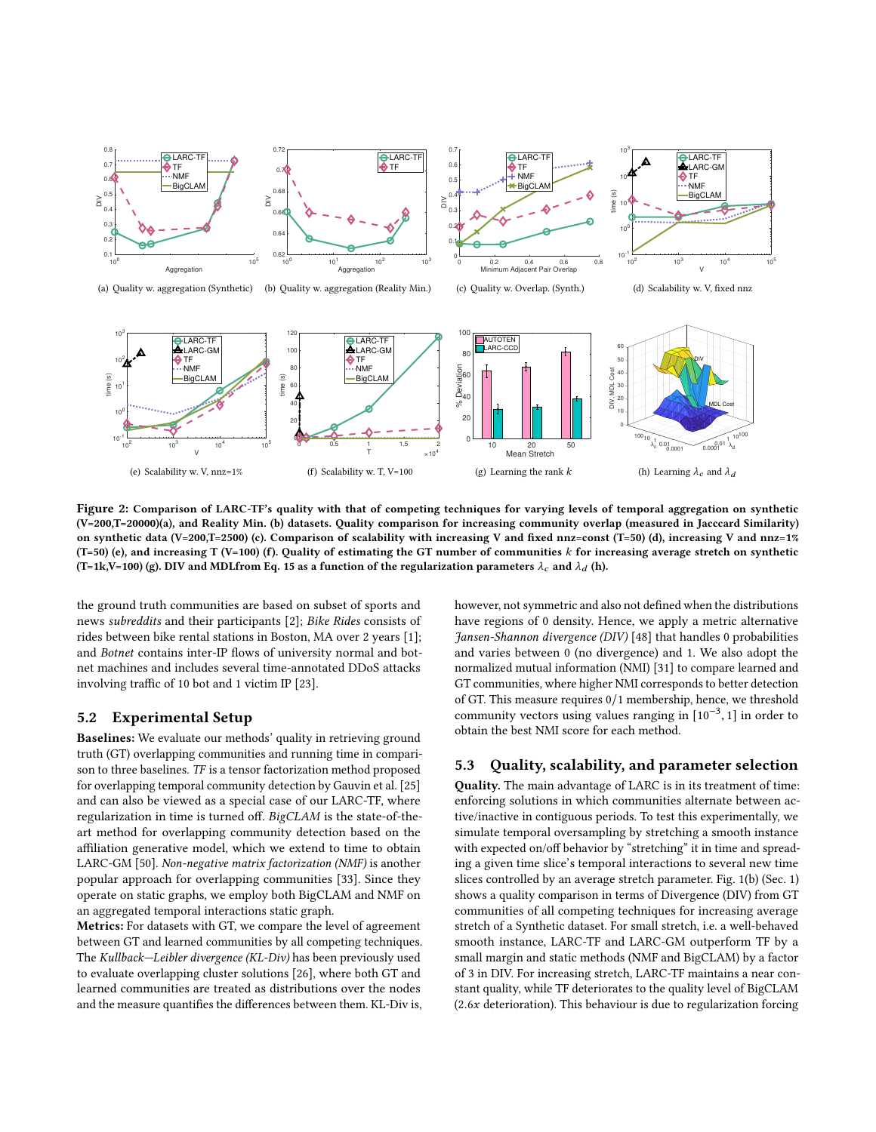<span id="page-6-1"></span><span id="page-6-0"></span>

<span id="page-6-5"></span><span id="page-6-4"></span>Figure 2: Comparison of LARC-TF's quality with that of competing techniques for varying levels of temporal aggregation on synthetic (V=200,T=20000[\)\(a\),](#page-6-0) and Reality Min. [\(b\)](#page-6-1) datasets. Quality comparison for increasing community overlap (measured in Jacccard Similarity) on synthetic data (V=200,T=2500) [\(c\).](#page-6-2) Comparison of scalability with increasing V and ixed nnz=const (T=50) [\(d\),](#page-6-3) increasing V and nnz=1%  $(T=50)$  [\(e\),](#page-6-4) and increasing T (V=100) [\(f\).](#page-6-5) Quality of estimating the GT number of communities k for increasing average stretch on synthetic (T=1k,V=100) [\(g\).](#page-6-6) DIV and MDLfrom Eq. [15](#page-5-1) as a function of the regularization parameters  $\lambda_c$  and  $\lambda_d$  [\(h\).](#page-6-7)

the ground truth communities are based on subset of sports and news subreddits and their participants [\[2\]](#page-8-12); Bike Rides consists of rides between bike rental stations in Boston, MA over 2 years [\[1\]](#page-8-13); and Botnet contains inter-IP flows of university normal and botnet machines and includes several time-annotated DDoS attacks involving traffic of 10 bot and 1 victim IP [\[23\]](#page-9-34).

#### 5.2 Experimental Setup

Baselines: We evaluate our methods' quality in retrieving ground truth (GT) overlapping communities and running time in comparison to three baselines. TF is a tensor factorization method proposed for overlapping temporal community detection by Gauvin et al. [\[25\]](#page-9-13) and can also be viewed as a special case of our LARC-TF, where regularization in time is turned off. BigCLAM is the state-of-theart method for overlapping community detection based on the affiliation generative model, which we extend to time to obtain LARC-GM [\[50\]](#page-9-3). Non-negative matrix factorization (NMF) is another popular approach for overlapping communities [\[33\]](#page-9-31). Since they operate on static graphs, we employ both BigCLAM and NMF on an aggregated temporal interactions static graph.

Metrics: For datasets with GT, we compare the level of agreement between GT and learned communities by all competing techniques. The Kullback-Leibler divergence (KL-Div) has been previously used to evaluate overlapping cluster solutions [\[26\]](#page-9-35), where both GT and learned communities are treated as distributions over the nodes and the measure quantifies the differences between them. KL-Div is, <span id="page-6-7"></span><span id="page-6-6"></span><span id="page-6-3"></span><span id="page-6-2"></span>however, not symmetric and also not defined when the distributions have regions of 0 density. Hence, we apply a metric alternative Jansen-Shannon divergence (DIV) [\[48\]](#page-9-36) that handles 0 probabilities and varies between 0 (no divergence) and 1. We also adopt the normalized mutual information (NMI) [\[31\]](#page-9-37) to compare learned and GT communities, where higher NMI corresponds to better detection of GT. This measure requires 0/1 membership, hence, we threshold community vectors using values ranging in  $[10^{-3}, 1]$  in order to obtain the best NMI score for each method.

## 5.3 Quality, scalability, and parameter selection

Quality. The main advantage of LARC is in its treatment of time: enforcing solutions in which communities alternate between active/inactive in contiguous periods. To test this experimentally, we simulate temporal oversampling by stretching a smooth instance with expected on/off behavior by "stretching" it in time and spreading a given time slice's temporal interactions to several new time slices controlled by an average stretch parameter. Fig. [1\(b\)](#page-1-1) (Sec. [1\)](#page-0-0) shows a quality comparison in terms of Divergence (DIV) from GT communities of all competing techniques for increasing average stretch of a Synthetic dataset. For small stretch, i.e. a well-behaved smooth instance, LARC-TF and LARC-GM outperform TF by a small margin and static methods (NMF and BigCLAM) by a factor of 3 in DIV. For increasing stretch, LARC-TF maintains a near constant quality, while TF deteriorates to the quality level of BigCLAM  $(2.6x$  deterioration). This behaviour is due to regularization forcing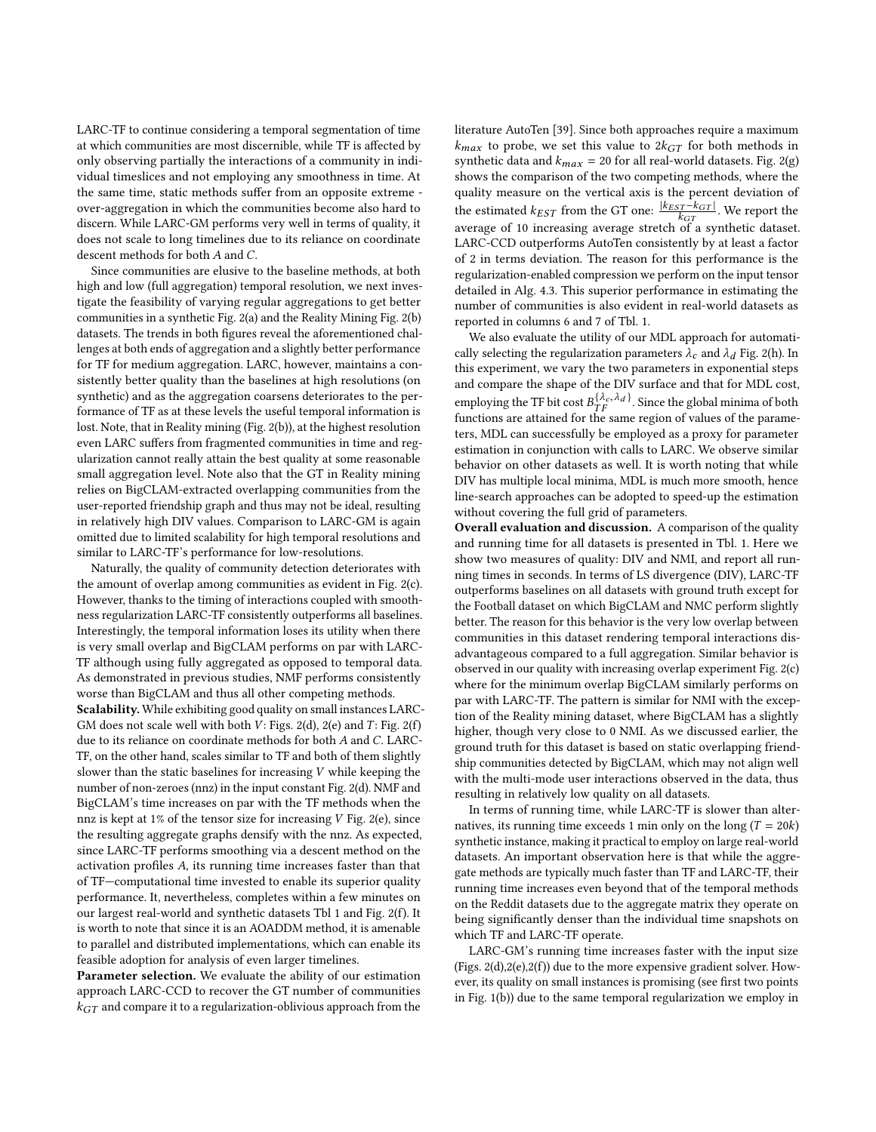LARC-TF to continue considering a temporal segmentation of time at which communities are most discernible, while TF is afected by only observing partially the interactions of a community in individual timeslices and not employing any smoothness in time. At the same time, static methods sufer from an opposite extreme over-aggregation in which the communities become also hard to discern. While LARC-GM performs very well in terms of quality, it does not scale to long timelines due to its reliance on coordinate descent methods for both A and C.

Since communities are elusive to the baseline methods, at both high and low (full aggregation) temporal resolution, we next investigate the feasibility of varying regular aggregations to get better communities in a synthetic Fig. [2\(a\)](#page-6-0) and the Reality Mining Fig. [2\(b\)](#page-6-1) datasets. The trends in both igures reveal the aforementioned challenges at both ends of aggregation and a slightly better performance for TF for medium aggregation. LARC, however, maintains a consistently better quality than the baselines at high resolutions (on synthetic) and as the aggregation coarsens deteriorates to the performance of TF as at these levels the useful temporal information is lost. Note, that in Reality mining (Fig. [2\(b\)\)](#page-6-1), at the highest resolution even LARC suffers from fragmented communities in time and regularization cannot really attain the best quality at some reasonable small aggregation level. Note also that the GT in Reality mining relies on BigCLAM-extracted overlapping communities from the user-reported friendship graph and thus may not be ideal, resulting in relatively high DIV values. Comparison to LARC-GM is again omitted due to limited scalability for high temporal resolutions and similar to LARC-TF's performance for low-resolutions.

Naturally, the quality of community detection deteriorates with the amount of overlap among communities as evident in Fig. [2\(c\).](#page-6-2) However, thanks to the timing of interactions coupled with smoothness regularization LARC-TF consistently outperforms all baselines. Interestingly, the temporal information loses its utility when there is very small overlap and BigCLAM performs on par with LARC-TF although using fully aggregated as opposed to temporal data. As demonstrated in previous studies, NMF performs consistently worse than BigCLAM and thus all other competing methods.

Scalability. While exhibiting good quality on small instances LARC-GM does not scale well with both  $V$ : Figs. [2\(d\),](#page-6-3) [2\(e\)](#page-6-4) and  $T$ : Fig. [2\(f\)](#page-6-5) due to its reliance on coordinate methods for both A and C. LARC-TF, on the other hand, scales similar to TF and both of them slightly slower than the static baselines for increasing V while keeping the number of non-zeroes (nnz) in the input constant Fig. [2\(d\).](#page-6-3) NMF and BigCLAM's time increases on par with the TF methods when the nnz is kept at 1% of the tensor size for increasing V Fig. [2\(e\),](#page-6-4) since the resulting aggregate graphs densify with the nnz. As expected, since LARC-TF performs smoothing via a descent method on the activation profiles  $A$ , its running time increases faster than that of TF-computational time invested to enable its superior quality performance. It, nevertheless, completes within a few minutes on our largest real-world and synthetic datasets Tbl [1](#page-5-0) and Fig. [2\(f\).](#page-6-5) It is worth to note that since it is an AOADDM method, it is amenable to parallel and distributed implementations, which can enable its feasible adoption for analysis of even larger timelines.

Parameter selection. We evaluate the ability of our estimation approach LARC-CCD to recover the GT number of communities  $k_{GT}$  and compare it to a regularization-oblivious approach from the literature AutoTen [\[39\]](#page-9-30). Since both approaches require a maximum  $k_{max}$  to probe, we set this value to  $2k_{GT}$  for both methods in synthetic data and  $k_{max}$  = 20 for all real-world datasets. Fig. [2\(g\)](#page-6-6) shows the comparison of the two competing methods, where the quality measure on the vertical axis is the percent deviation of the estimated  $k_{EST}$  from the GT one:  $\frac{|k_{EST} - k_{GT}|}{k_{GT}}$ . We report the average of 10 increasing average stretch of a synthetic dataset. LARC-CCD outperforms AutoTen consistently by at least a factor of 2 in terms deviation. The reason for this performance is the regularization-enabled compression we perform on the input tensor detailed in Alg. [4.3.](#page-4-1) This superior performance in estimating the number of communities is also evident in real-world datasets as reported in columns 6 and 7 of Tbl. [1.](#page-5-0)

We also evaluate the utility of our MDL approach for automatically selecting the regularization parameters  $\lambda_c$  and  $\lambda_d$  Fig. [2\(h\).](#page-6-7) In this experiment, we vary the two parameters in exponential steps and compare the shape of the DIV surface and that for MDL cost, employing the TF bit cost  $B_{TF}^{\{\lambda_c,\lambda_d\}}$ . Since the global minima of both functions are attained for the same region of values of the parameters, MDL can successfully be employed as a proxy for parameter estimation in conjunction with calls to LARC. We observe similar behavior on other datasets as well. It is worth noting that while DIV has multiple local minima, MDL is much more smooth, hence line-search approaches can be adopted to speed-up the estimation without covering the full grid of parameters.

Overall evaluation and discussion. A comparison of the quality and running time for all datasets is presented in Tbl. [1.](#page-5-0) Here we show two measures of quality: DIV and NMI, and report all running times in seconds. In terms of LS divergence (DIV), LARC-TF outperforms baselines on all datasets with ground truth except for the Football dataset on which BigCLAM and NMC perform slightly better. The reason for this behavior is the very low overlap between communities in this dataset rendering temporal interactions disadvantageous compared to a full aggregation. Similar behavior is observed in our quality with increasing overlap experiment Fig. [2\(c\)](#page-6-2) where for the minimum overlap BigCLAM similarly performs on par with LARC-TF. The pattern is similar for NMI with the exception of the Reality mining dataset, where BigCLAM has a slightly higher, though very close to 0 NMI. As we discussed earlier, the ground truth for this dataset is based on static overlapping friendship communities detected by BigCLAM, which may not align well with the multi-mode user interactions observed in the data, thus resulting in relatively low quality on all datasets.

In terms of running time, while LARC-TF is slower than alternatives, its running time exceeds 1 min only on the long ( $T = 20k$ ) synthetic instance, making it practical to employ on large real-world datasets. An important observation here is that while the aggregate methods are typically much faster than TF and LARC-TF, their running time increases even beyond that of the temporal methods on the Reddit datasets due to the aggregate matrix they operate on being significantly denser than the individual time snapshots on which TF and LARC-TF operate.

LARC-GM's running time increases faster with the input size (Figs. [2\(d\)](#page-6-3)[,2\(e\)](#page-6-4)[,2\(f\)\)](#page-6-5) due to the more expensive gradient solver. However, its quality on small instances is promising (see first two points in Fig. [1\(b\)\)](#page-1-1) due to the same temporal regularization we employ in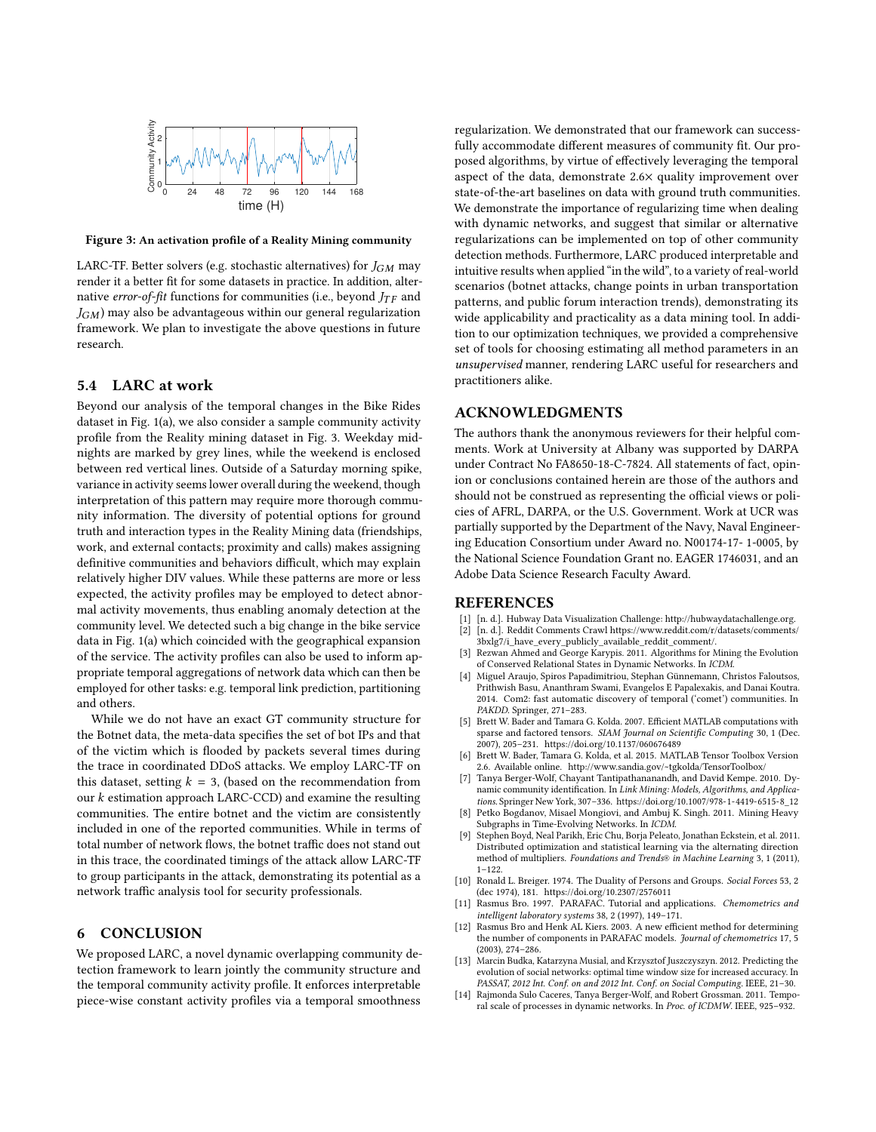<span id="page-8-14"></span>

Figure 3: An activation profile of a Reality Mining community

LARC-TF. Better solvers (e.g. stochastic alternatives) for  $J_{GM}$  may render it a better it for some datasets in practice. In addition, alternative error-of-fit functions for communities (i.e., beyond  $J_{TF}$  and  $J_{GM}$ ) may also be advantageous within our general regularization framework. We plan to investigate the above questions in future research.

# 5.4 LARC at work

Beyond our analysis of the temporal changes in the Bike Rides dataset in Fig. [1\(a\),](#page-1-0) we also consider a sample community activity profile from the Reality mining dataset in Fig. [3.](#page-8-14) Weekday midnights are marked by grey lines, while the weekend is enclosed between red vertical lines. Outside of a Saturday morning spike, variance in activity seems lower overall during the weekend, though interpretation of this pattern may require more thorough community information. The diversity of potential options for ground truth and interaction types in the Reality Mining data (friendships, work, and external contacts; proximity and calls) makes assigning definitive communities and behaviors difficult, which may explain relatively higher DIV values. While these patterns are more or less expected, the activity profiles may be employed to detect abnormal activity movements, thus enabling anomaly detection at the community level. We detected such a big change in the bike service data in Fig. [1\(a\)](#page-1-0) which coincided with the geographical expansion of the service. The activity profiles can also be used to inform appropriate temporal aggregations of network data which can then be employed for other tasks: e.g. temporal link prediction, partitioning and others.

While we do not have an exact GT community structure for the Botnet data, the meta-data specifies the set of bot IPs and that of the victim which is looded by packets several times during the trace in coordinated DDoS attacks. We employ LARC-TF on this dataset, setting  $k = 3$ , (based on the recommendation from our  $k$  estimation approach LARC-CCD) and examine the resulting communities. The entire botnet and the victim are consistently included in one of the reported communities. While in terms of total number of network flows, the botnet traffic does not stand out in this trace, the coordinated timings of the attack allow LARC-TF to group participants in the attack, demonstrating its potential as a network traffic analysis tool for security professionals.

## 6 CONCLUSION

We proposed LARC, a novel dynamic overlapping community detection framework to learn jointly the community structure and the temporal community activity profile. It enforces interpretable piece-wise constant activity profiles via a temporal smoothness

regularization. We demonstrated that our framework can successfully accommodate different measures of community fit. Our proposed algorithms, by virtue of efectively leveraging the temporal aspect of the data, demonstrate 2.6× quality improvement over state-of-the-art baselines on data with ground truth communities. We demonstrate the importance of regularizing time when dealing with dynamic networks, and suggest that similar or alternative regularizations can be implemented on top of other community detection methods. Furthermore, LARC produced interpretable and intuitive results when applied "in the wild", to a variety of real-world scenarios (botnet attacks, change points in urban transportation patterns, and public forum interaction trends), demonstrating its wide applicability and practicality as a data mining tool. In addition to our optimization techniques, we provided a comprehensive set of tools for choosing estimating all method parameters in an unsupervised manner, rendering LARC useful for researchers and practitioners alike.

## ACKNOWLEDGMENTS

The authors thank the anonymous reviewers for their helpful comments. Work at University at Albany was supported by DARPA under Contract No FA8650-18-C-7824. All statements of fact, opinion or conclusions contained herein are those of the authors and should not be construed as representing the official views or policies of AFRL, DARPA, or the U.S. Government. Work at UCR was partially supported by the Department of the Navy, Naval Engineering Education Consortium under Award no. N00174-17- 1-0005, by the National Science Foundation Grant no. EAGER 1746031, and an Adobe Data Science Research Faculty Award.

## REFERENCES

- <span id="page-8-13"></span><span id="page-8-12"></span>[n. d.]. Hubway Data Visualization Challenge: [http://hubwaydatachallenge.org.](http://hubwaydatachallenge.org) [2] [n. d.]. Reddit Comments Crawl [https://www.reddit.com/r/datasets/comments/](https://www.reddit.com/r/datasets/comments/3bxlg7/i_have_every_publicly_available_reddit_comment/)
- [3bxlg7/i\\_have\\_every\\_publicly\\_available\\_reddit\\_comment/.](https://www.reddit.com/r/datasets/comments/3bxlg7/i_have_every_publicly_available_reddit_comment/)
- <span id="page-8-4"></span>[3] Rezwan Ahmed and George Karypis. 2011. Algorithms for Mining the Evolution of Conserved Relational States in Dynamic Networks. In ICDM.
- <span id="page-8-5"></span>[4] Miguel Araujo, Spiros Papadimitriou, Stephan Günnemann, Christos Faloutsos, Prithwish Basu, Ananthram Swami, Evangelos E Papalexakis, and Danai Koutra. 2014. Com2: fast automatic discovery of temporal ('comet') communities. In PAKDD. Springer, 271-283.
- <span id="page-8-10"></span>[5] Brett W. Bader and Tamara G. Kolda. 2007. Efficient MATLAB computations with sparse and factored tensors. SIAM Journal on Scientific Computing 30, 1 (Dec. 2007), 205-231.<https://doi.org/10.1137/060676489>
- <span id="page-8-11"></span>[6] Brett W. Bader, Tamara G. Kolda, et al. 2015. MATLAB Tensor Toolbox Version 2.6. Available online.<http://www.sandia.gov/~tgkolda/TensorToolbox/>
- <span id="page-8-0"></span>[7] Tanya Berger-Wolf, Chayant Tantipathananandh, and David Kempe. 2010. Dynamic community identification. In Link Mining: Models, Algorithms, and Applications. Springer New York, 307-336. [https://doi.org/10.1007/978-1-4419-6515-8\\_12](https://doi.org/10.1007/978-1-4419-6515-8_12)
- <span id="page-8-3"></span>[8] Petko Bogdanov, Misael Mongiovi, and Ambuj K. Singh. 2011. Mining Heavy Subgraphs in Time-Evolving Networks. In ICDM.
- <span id="page-8-8"></span>[9] Stephen Boyd, Neal Parikh, Eric Chu, Borja Peleato, Jonathan Eckstein, et al. 2011. Distributed optimization and statistical learning via the alternating direction method of multipliers. Foundations and Trends® in Machine Learning 3, 1 (2011),  $1 - 122$ .
- <span id="page-8-7"></span>[10] Ronald L. Breiger. 1974. The Duality of Persons and Groups. Social Forces 53, 2
- <span id="page-8-6"></span>(dec 1974), 181.<https://doi.org/10.2307/2576011> [11] Rasmus Bro. 1997. PARAFAC. Tutorial and applications. Chemometrics and intelligent laboratory systems 38, 2 (1997), 149-171.
- <span id="page-8-9"></span>[12] Rasmus Bro and Henk AL Kiers. 2003. A new efficient method for determining the number of components in PARAFAC models. Journal of chemometrics 17, 5  $(2003)$ ,  $274-286$ .
- <span id="page-8-1"></span>[13] Marcin Budka, Katarzyna Musial, and Krzysztof Juszczyszyn. 2012. Predicting the evolution of social networks: optimal time window size for increased accuracy. In PASSAT, 2012 Int. Conf. on and 2012 Int. Conf. on Social Computing. IEEE, 21-30.
- <span id="page-8-2"></span>[14] Rajmonda Sulo Caceres, Tanya Berger-Wolf, and Robert Grossman. 2011. Temporal scale of processes in dynamic networks. In Proc. of ICDMW. IEEE, 925-932.